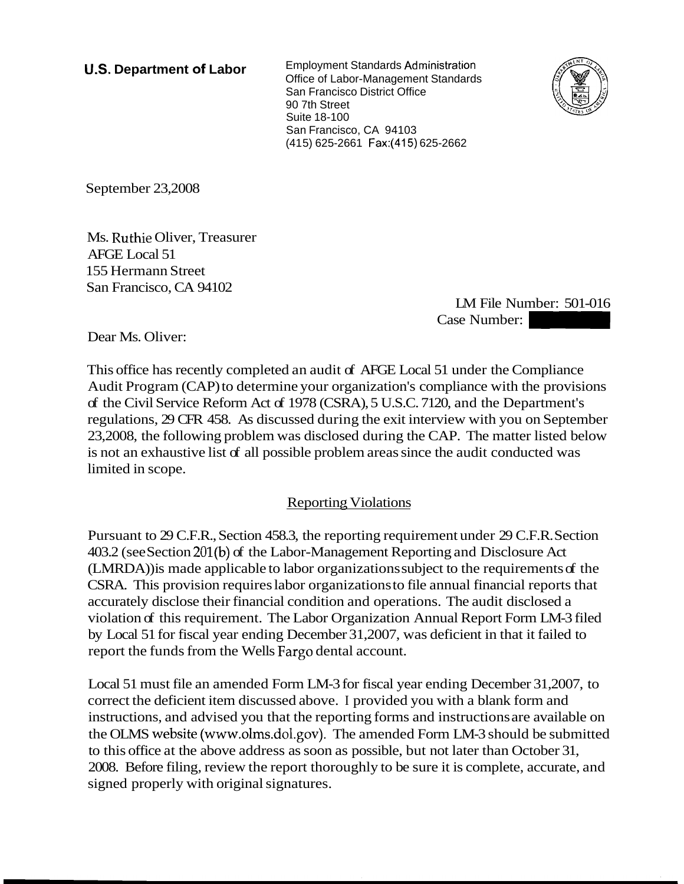**U.S. Department of Labor** Employment Standards Administration Office of Labor-Management Standards San Francisco District Office 90 7th Street Suite 18-100 San Francisco, CA 94103 (41 5) 625-2661 Fax:(415) 625-2662



September 23,2008

Ms. Ruthie Oliver, Treasurer AFGE Local 51 155 Hermann Street San Francisco, CA 94102

LM File Number: 501-016 Case 2662<br>Case Number: 501-016<br>Case Number: 501-016<br>51 under the Compliance

Dear Ms. Oliver:

This office has recently completed an audit of AFGE Local 51 under the Compliance Audit Program (CAP) to determine your organization's compliance with the provisions of the Civil Service Reform Act of 1978 (CSRA), 5 U.S.C. 7120, and the Department's regulations, 29 CFR 458. As discussed during the exit interview with you on September 23,2008, the following problem was disclosed during the CAP. The matter listed below is not an exhaustive list of all possible problem areas since the audit conducted was limited in scope.

## **Reporting Violations**

Pursuant to 29 C.F.R., Section 458.3, the reporting requirement under 29 C.F.R. Section 403.2 (see Section 201(b) of the Labor-Management Reporting and Disclosure Act (LMRDA)) is made applicable to labor organizations subject to the requirements of the CSRA. This provision requires labor organizations to file annual financial reports that accurately disclose their financial condition and operations. The audit disclosed a violation of this requirement. The Labor Organization Annual Report Form LM-3 filed by Local 51 for fiscal year ending December 31,2007, was deficient in that it failed to report the funds from the Wells Fargo dental account.

Local 51 must file an amended Form LM-3 for fiscal year ending December 31,2007, to correct the deficient item discussed above. I provided you with a blank form and instructions, and advised you that the reporting forms and instructions are available on the OLMS website (www.olms.dol.gov). The amended Form LM-3 should be submitted to this office at the above address as soon as possible, but not later than October 31, 2008. Before filing, review the report thoroughly to be sure it is complete, accurate, and signed properly with original signatures.